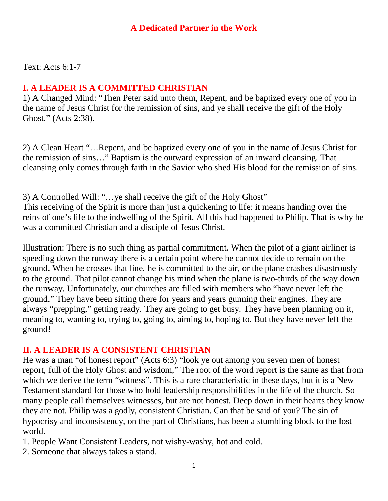### **A Dedicated Partner in the Work**

Text: Acts 6:1-7

### **I. A LEADER IS A COMMITTED CHRISTIAN**

1) A Changed Mind: "Then Peter said unto them, Repent, and be baptized every one of you in the name of Jesus Christ for the remission of sins, and ye shall receive the gift of the Holy Ghost." (Acts 2:38).

2) A Clean Heart "…Repent, and be baptized every one of you in the name of Jesus Christ for the remission of sins…" Baptism is the outward expression of an inward cleansing. That cleansing only comes through faith in the Savior who shed His blood for the remission of sins.

3) A Controlled Will: "…ye shall receive the gift of the Holy Ghost" This receiving of the Spirit is more than just a quickening to life: it means handing over the reins of one's life to the indwelling of the Spirit. All this had happened to Philip. That is why he was a committed Christian and a disciple of Jesus Christ.

Illustration: There is no such thing as partial commitment. When the pilot of a giant airliner is speeding down the runway there is a certain point where he cannot decide to remain on the ground. When he crosses that line, he is committed to the air, or the plane crashes disastrously to the ground. That pilot cannot change his mind when the plane is two-thirds of the way down the runway. Unfortunately, our churches are filled with members who "have never left the ground." They have been sitting there for years and years gunning their engines. They are always "prepping," getting ready. They are going to get busy. They have been planning on it, meaning to, wanting to, trying to, going to, aiming to, hoping to. But they have never left the ground!

## **II. A LEADER IS A CONSISTENT CHRISTIAN**

He was a man "of honest report" (Acts 6:3) "look ye out among you seven men of honest report, full of the Holy Ghost and wisdom," The root of the word report is the same as that from which we derive the term "witness". This is a rare characteristic in these days, but it is a New Testament standard for those who hold leadership responsibilities in the life of the church. So many people call themselves witnesses, but are not honest. Deep down in their hearts they know they are not. Philip was a godly, consistent Christian. Can that be said of you? The sin of hypocrisy and inconsistency, on the part of Christians, has been a stumbling block to the lost world.

1. People Want Consistent Leaders, not wishy-washy, hot and cold.

2. Someone that always takes a stand.